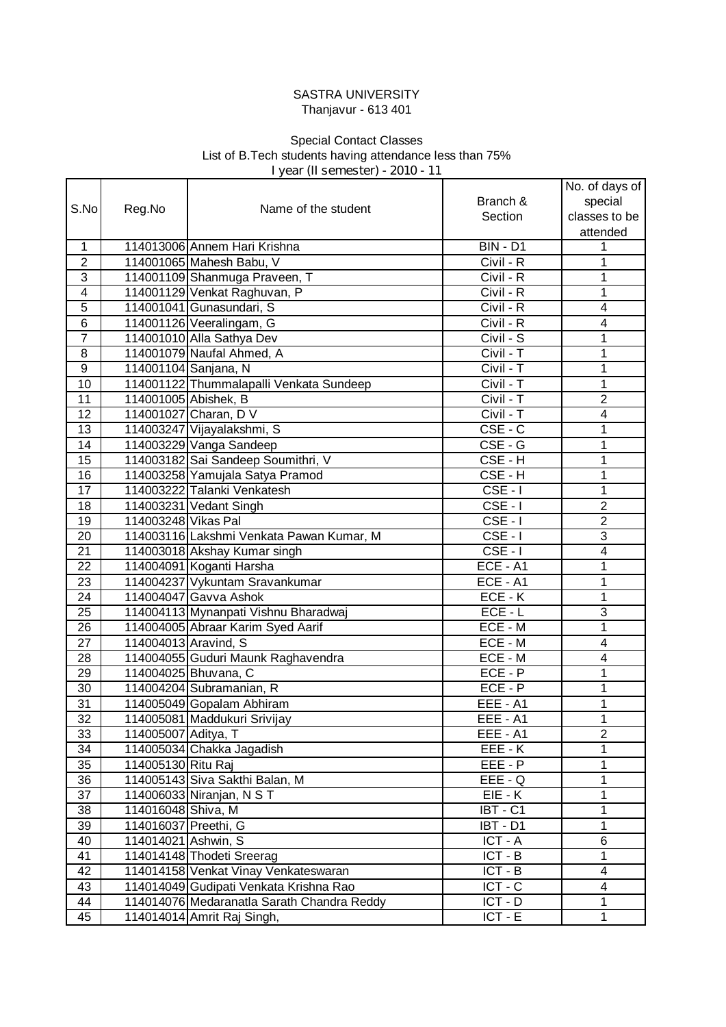## SASTRA UNIVERSITY Thanjavur - 613 401

## **I year (II semester) - 2010 - 11** Special Contact Classes List of B.Tech students having attendance less than 75%

|                  |                      |                                            |                      | No. of days of |
|------------------|----------------------|--------------------------------------------|----------------------|----------------|
| S.No             |                      | Name of the student                        | Branch &             | special        |
|                  | Reg.No               |                                            | Section              | classes to be  |
|                  |                      |                                            |                      | attended       |
| 1                |                      | 114013006 Annem Hari Krishna               | <b>BIN - D1</b>      | 1              |
| $\overline{c}$   |                      | 114001065 Mahesh Babu, V                   | Civil - R            | 1              |
| 3                |                      | 114001109 Shanmuga Praveen, T              | Civil - R            | 1              |
| 4                |                      | 114001129 Venkat Raghuvan, P               | Civil - R            | 1              |
| $\overline{5}$   |                      | 114001041 Gunasundari, S                   | $Civil - R$          | 4              |
| 6                |                      | 114001126 Veeralingam, G                   | $Civil - R$          | 4              |
| $\overline{7}$   |                      | 114001010 Alla Sathya Dev                  | Civil - S            | 1              |
| 8                |                      | 114001079 Naufal Ahmed, A                  | Civil - T            | 1              |
| $\boldsymbol{9}$ |                      | 114001104 Sanjana, N                       | Civil - T            | 1              |
| $\overline{10}$  |                      | 114001122 Thummalapalli Venkata Sundeep    | Civil - T            | 1              |
| $\overline{11}$  | 114001005 Abishek, B |                                            | $Civil - T$          | $\overline{2}$ |
| 12               |                      | 114001027 Charan, D V                      | $Civil - T$          | 4              |
| 13               |                      | 114003247 Vijayalakshmi, S                 | $CSE - C$            | 1              |
| 14               |                      | 114003229 Vanga Sandeep                    | CSE - G              | 1              |
| 15               |                      | 114003182 Sai Sandeep Soumithri, V         | CSE-H                | 1              |
| 16               |                      | 114003258 Yamujala Satya Pramod            | CSE-H                | 1              |
| 17               |                      | 114003222 Talanki Venkatesh                | $CSE - I$            | 1              |
| 18               |                      | 114003231 Vedant Singh                     | $CSE - I$            | $\overline{2}$ |
| 19               | 114003248 Vikas Pal  |                                            | $CSE - I$            | $\overline{2}$ |
| 20               |                      | 114003116 Lakshmi Venkata Pawan Kumar, M   | $CSE - I$            | 3              |
| 21               |                      | 114003018 Akshay Kumar singh               | $CSE - I$            | 4              |
| 22               |                      | 114004091 Koganti Harsha                   | $ECE - A1$           | 1              |
| 23               |                      | 114004237 Vykuntam Sravankumar             | ECE - A1             | 1              |
| 24               |                      | 114004047 Gavva Ashok                      | $ECE - K$            | 1              |
| 25               |                      | 114004113 Mynanpati Vishnu Bharadwaj       | $ECE - L$            | 3              |
| 26               |                      | 114004005 Abraar Karim Syed Aarif          | ECE - M              | 1              |
| 27               | 114004013 Aravind, S |                                            | ECE - M              | 4              |
| 28               |                      | 114004055 Guduri Maunk Raghavendra         | ECE - M              | 4              |
| 29               |                      | 114004025 Bhuvana, C                       | $\overline{ECE} - P$ | 1              |
| 30               |                      | 114004204 Subramanian, R                   | ECE - P              | 1              |
| 31               |                      | 114005049 Gopalam Abhiram                  | EEE - A1             | 1              |
| $\overline{32}$  |                      | 114005081 Maddukuri Srivijay               | EEE - A1             | 1              |
| 33               | 114005007 Aditya, T  |                                            | EEE - A1             | 2              |
| 34               |                      | 114005034 Chakka Jagadish                  | EEE-K                | 1              |
| 35               | 114005130 Ritu Raj   |                                            | EEE - P              | 1              |
| 36               |                      | 114005143 Siva Sakthi Balan, M             | EEE - Q              | 1              |
| 37               |                      | 114006033 Niranjan, N S T                  | EIE - K              | 1              |
| 38               | 114016048 Shiva, M   |                                            | IBT - C1             | 1              |
| 39               | 114016037 Preethi, G |                                            | IBT - D1             | 1              |
| 40               | 114014021 Ashwin, S  |                                            | ICT-A                | 6              |
| 41               |                      | 114014148 Thodeti Sreerag                  | $ICT - B$            | 1              |
| 42               |                      | 114014158 Venkat Vinay Venkateswaran       | $\overline{ICT - B}$ | 4              |
| 43               |                      | 114014049 Gudipati Venkata Krishna Rao     | $ICT - C$            | 4              |
| 44               |                      | 114014076 Medaranatla Sarath Chandra Reddy | $ICT - D$            | 1              |
| 45               |                      | 114014014 Amrit Raj Singh,                 | $ICT - E$            | 1              |